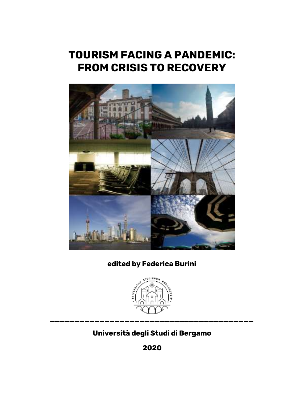# **TOURISM FACING A PANDEMIC: FROM CRISIS TO RECOVERY**



## **edited by Federica Burini**



# **Università degli Studi di Bergamo**

**2020**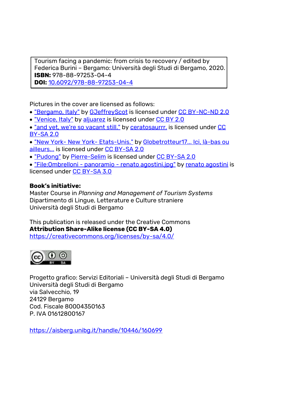Tourism facing a pandemic: from crisis to recovery / edited by Federica Burini – Bergamo: Università degli Studi di Bergamo, 2020. **ISBN:** 978-88-97253-04-4 **DOI:** 10.6092/978-88-97253-04-4

Pictures in the cover are licensed as follows:

- ["Bergamo, Italy"](https://www.flickr.com/photos/123952471@N02/19172339109) b[y GJeffreyScot](https://www.flickr.com/photos/123952471@N02) is licensed unde[r CC BY-NC-ND 2.0](https://search.creativecommons.org/photos/null?ref=ccsearch&atype=rich)
- . ["Venice, Italy"](https://www.flickr.com/photos/43547009@N00/27123589038) by [aljuarez](https://www.flickr.com/photos/43547009@N00) is licensed unde[r CC BY 2.0](https://search.creativecommons.org/photos/null?ref=ccsearch&atype=rich)
- ["and yet, we're so vacant still."](https://www.flickr.com/photos/43123865@N04/4201627612) by ceratosaurrr, is licensed under CC [BY-SA 2.0](https://creativecommons.org/licenses/by-sa/2.0/?ref=ccsearch&atype=rich)
- ["New York-](https://www.flickr.com/photos/91701539@N03/47929401196) New York- [Etats-Unis."](https://www.flickr.com/photos/91701539@N03/47929401196) b[y Globetrotteur17... Ici, là-bas](https://www.flickr.com/photos/91701539@N03) [ou](https://www.flickr.com/photos/91701539@N03) [ailleurs...](https://www.flickr.com/photos/91701539@N03) is licensed under [CC BY-SA 2.0](https://search.creativecommons.org/photos/null?ref=ccsearch&atype=rich)
- ["Pudong"](https://www.flickr.com/photos/65491958@N06/9554402845) b[y Pierre-Selim](https://www.flickr.com/photos/65491958@N06) is licensed unde[r CC BY-SA 2.0](https://creativecommons.org/licenses/by-sa/2.0/?ref=ccsearch&atype=rich)

 ["File:Ombrelloni -](https://commons.wikimedia.org/w/index.php?curid=53048281) [panoramio](https://commons.wikimedia.org/w/index.php?curid=53048281) - [renato agostini.jpg"](https://commons.wikimedia.org/w/index.php?curid=53048281) b[y renato agostini](https://web.archive.org/web/20161017175805/http:/www.panoramio.com/user/4921678?with_photo_id=41296557) is licensed unde[r CC BY-SA 3.0](https://creativecommons.org/licenses/by-sa/3.0?ref=ccsearch&atype=rich) 

## **Book's initiative:**

Master Course in *Planning and Management of Tourism Systems* Dipartimento di Lingue, Letterature e Culture straniere Università degli Studi di Bergamo

This publication is released under the Creative Commons **Attribution Share-Alike license (CC BY-SA 4.0)**  <https://creativecommons.org/licenses/by-sa/4.0/>



Progetto grafico: Servizi Editoriali – Università degli Studi di Bergamo Università degli Studi di Bergamo via Salvecchio, 19 24129 Bergamo Cod. Fiscale 80004350163 P. IVA 01612800167

https://aisberg.unibg.it/handle/10446/160699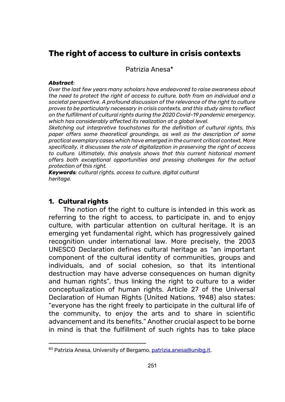## **The right of access to culture in crisis contexts**

Patrizia Anesa\*<sup>83</sup>

#### *Abstract:*

*Over the last few years many scholars have endeavored to raise awareness about the need to protect the right of access to culture, both from an individual and a societal perspective. A profound discussion of the relevance of the right to culture proves to be particularly necessary in crisis contexts, and this study aims to reflect on the fulfillment of cultural rights during the 2020 Covid-19 pandemic emergency, which has considerably affected its realization at a global level.* 

*Sketching out interpretive touchstones for the definition of cultural rights, this paper offers some theoretical groundings, as well as the description of some practical exemplary cases which have emerged in the current critical context. More specifically, it discusses the role of digitalization in preserving the right of access to culture. Ultimately, this analysis shows that this current historical moment offers both exceptional opportunities and pressing challenges for the actual protection of this right.*

*Keywords: cultural rights, access to culture, digital cultural heritage.* 

#### **1. Cultural rights**

 $\overline{a}$ 

The notion of the right to culture is intended in this work as referring to the right to access, to participate in, and to enjoy culture, with particular attention on cultural heritage. It is an emerging yet fundamental right, which has progressively gained recognition under international law. More precisely, the 2003 UNESCO Declaration defines cultural heritage as "an important component of the cultural identity of communities, groups and individuals, and of social cohesion, so that its intentional destruction may have adverse consequences on human dignity and human rights", thus linking the right to culture to a wider conceptualization of human rights. Article 27 of the Universal Declaration of Human Rights (United Nations, 1948) also states: "everyone has the right freely to participate in the cultural life of the community, to enjoy the arts and to share in scientific advancement and its benefits." Another crucial aspect to be borne in mind is that the fulfillment of such rights has to take place

<sup>83</sup> Patrizia Anesa, University of Bergamo[, patrizia.anesa@unibg.it.](mailto:patrizia.anesa@unibg.it)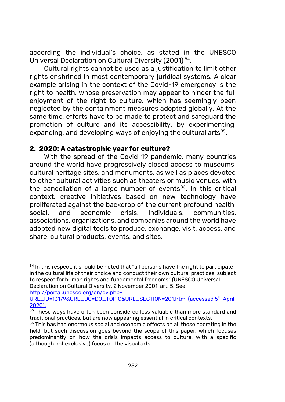according the individual's choice, as stated in the UNESCO Universal Declaration on Cultural Diversity (2001) <sup>84</sup> .

Cultural rights cannot be used as a justification to limit other rights enshrined in most contemporary juridical systems. A clear example arising in the context of the Covid-19 emergency is the right to health, whose preservation may appear to hinder the full enjoyment of the right to culture, which has seemingly been neglected by the containment measures adopted globally. At the same time, efforts have to be made to protect and safeguard the promotion of culture and its accessibility, by experimenting, expanding, and developing ways of enjoying the cultural arts $^{\rm 85}$ .

#### **2. 2020: A catastrophic year for culture?**

With the spread of the Covid-19 pandemic, many countries around the world have progressively closed access to museums, cultural heritage sites, and monuments, as well as places devoted to other cultural activities such as theaters or music venues, with the cancellation of a large number of events<sup>86</sup>. In this critical context, creative initiatives based on new technology have proliferated against the backdrop of the current profound health, social, and economic crisis. Individuals, communities, associations, organizations, and companies around the world have adopted new digital tools to produce, exchange, visit, access, and share, cultural products, events, and sites.

[http://portal.unesco.org/en/ev.php-](http://portal.unesco.org/en/ev.php-URL_ID=13179&URL_DO=DO_TOPIC&URL_SECTION=201.html)

1

 $84$  In this respect, it should be noted that "all persons have the right to participate in the cultural life of their choice and conduct their own cultural practices, subject to respect for human rights and fundamental freedoms" (UNESCO Universal Declaration on Cultural Diversity, 2 November 2001, art. 5. See

[URL\\_ID=13179&URL\\_DO=DO\\_TOPIC&URL\\_SECTION=201.html](http://portal.unesco.org/en/ev.php-URL_ID=13179&URL_DO=DO_TOPIC&URL_SECTION=201.html) (accessed 5th April, 2020).

<sup>&</sup>lt;sup>85</sup> These ways have often been considered less valuable than more standard and traditional practices, but are now appearing essential in critical contexts.

<sup>&</sup>lt;sup>86</sup> This has had enormous social and economic effects on all those operating in the field, but such discussion goes beyond the scope of this paper, which focuses predominantly on how the crisis impacts access to culture, with a specific (although not exclusive) focus on the visual arts.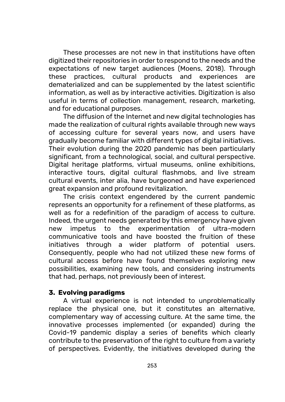These processes are not new in that institutions have often digitized their repositories in order to respond to the needs and the expectations of new target audiences (Moens, 2018). Through these practices, cultural products and experiences are dematerialized and can be supplemented by the latest scientific information, as well as by interactive activities. Digitization is also useful in terms of collection management, research, marketing, and for educational purposes.

The diffusion of the Internet and new digital technologies has made the realization of cultural rights available through new ways of accessing culture for several years now, and users have gradually become familiar with different types of digital initiatives. Their evolution during the 2020 pandemic has been particularly significant, from a technological, social, and cultural perspective. Digital heritage platforms, virtual museums, online exhibitions, interactive tours, digital cultural flashmobs, and live stream cultural events, inter alia, have burgeoned and have experienced great expansion and profound revitalization.

The crisis context engendered by the current pandemic represents an opportunity for a refinement of these platforms, as well as for a redefinition of the paradigm of access to culture. Indeed, the urgent needs generated by this emergency have given new impetus to the experimentation of ultra-modern communicative tools and have boosted the fruition of these initiatives through a wider platform of potential users. Consequently, people who had not utilized these new forms of cultural access before have found themselves exploring new possibilities, examining new tools, and considering instruments that had, perhaps, not previously been of interest.

#### **3. Evolving paradigms**

A virtual experience is not intended to unproblematically replace the physical one, but it constitutes an alternative, complementary way of accessing culture. At the same time, the innovative processes implemented (or expanded) during the Covid-19 pandemic display a series of benefits which clearly contribute to the preservation of the right to culture from a variety of perspectives. Evidently, the initiatives developed during the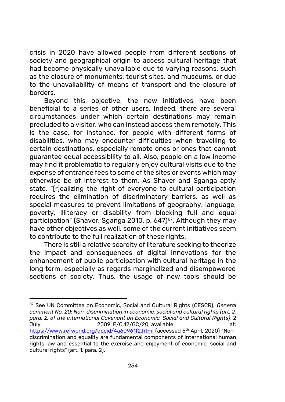crisis in 2020 have allowed people from different sections of society and geographical origin to access cultural heritage that had become physically unavailable due to varying reasons, such as the closure of monuments, tourist sites, and museums, or due to the unavailability of means of transport and the closure of borders.

Beyond this objective, the new initiatives have been beneficial to a series of other users. Indeed, there are several circumstances under which certain destinations may remain precluded to a visitor, who can instead access them remotely. This is the case, for instance, for people with different forms of disabilities, who may encounter difficulties when travelling to certain destinations, especially remote ones or ones that cannot guarantee equal accessibility to all. Also, people on a low income may find it problematic to regularly enjoy cultural visits due to the expense of entrance fees to some of the sites or events which may otherwise be of interest to them. As Shaver and Sganga aptly state, "[r]ealizing the right of everyone to cultural participation requires the elimination of discriminatory barriers, as well as special measures to prevent limitations of geography, language, poverty, illiteracy or disability from blocking full and equal participation" (Shaver, Sganga 2010, p. 647)<sup>87</sup>. Although they may have other objectives as well, some of the current initiatives seem to contribute to the full realization of these rights.

There is still a relative scarcity of literature seeking to theorize the impact and consequences of digital innovations for the enhancement of public participation with cultural heritage in the long term, especially as regards marginalized and disempowered sections of society. Thus, the usage of new tools should be

 $\overline{a}$ 

<sup>87</sup> See UN Committee on Economic, Social and Cultural Rights (CESCR), *General comment No. 20: Non-discrimination in economic, social and cultural rights (art. 2, para. 2, of the International Covenant on Economic, Social and Cultural Rights)*, 2 July 2009, E/C.12/GC/20, available at: <https://www.refworld.org/docid/4a60961f2.html> (accessed 5<sup>th</sup> April, 2020) "Nondiscrimination and equality are fundamental components of international human rights law and essential to the exercise and enjoyment of economic, social and cultural rights" (art. 1, para. 2).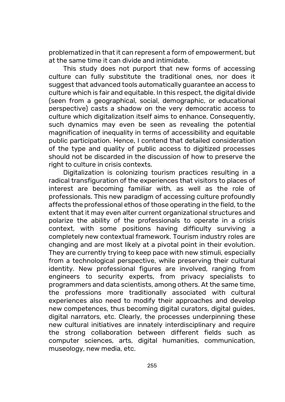problematized in that it can represent a form of empowerment, but at the same time it can divide and intimidate.

This study does not purport that new forms of accessing culture can fully substitute the traditional ones, nor does it suggest that advanced tools automatically guarantee an access to culture which is fair and equitable. In this respect, the digital divide (seen from a geographical, social, demographic, or educational perspective) casts a shadow on the very democratic access to culture which digitalization itself aims to enhance. Consequently, such dynamics may even be seen as revealing the potential magnification of inequality in terms of accessibility and equitable public participation. Hence, I contend that detailed consideration of the type and quality of public access to digitized processes should not be discarded in the discussion of how to preserve the right to culture in crisis contexts.

Digitalization is colonizing tourism practices resulting in a radical transfiguration of the experiences that visitors to places of interest are becoming familiar with, as well as the role of professionals. This new paradigm of accessing culture profoundly affects the professional ethos of those operating in the field, to the extent that it may even alter current organizational structures and polarize the ability of the professionals to operate in a crisis context, with some positions having difficulty surviving a completely new contextual framework. Tourism industry roles are changing and are most likely at a pivotal point in their evolution. They are currently trying to keep pace with new stimuli, especially from a technological perspective, while preserving their cultural identity. New professional figures are involved, ranging from engineers to security experts, from privacy specialists to programmers and data scientists, among others. At the same time, the professions more traditionally associated with cultural experiences also need to modify their approaches and develop new competences, thus becoming digital curators, digital guides, digital narrators, etc. Clearly, the processes underpinning these new cultural initiatives are innately interdisciplinary and require the strong collaboration between different fields such as computer sciences, arts, digital humanities, communication, museology, new media, etc.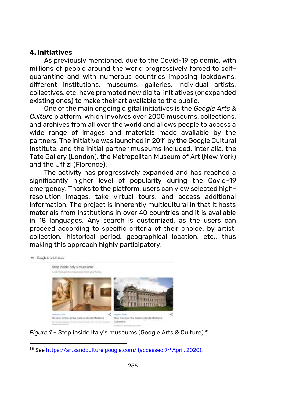#### **4. Initiatives**

As previously mentioned, due to the Covid-19 epidemic, with millions of people around the world progressively forced to selfquarantine and with numerous countries imposing lockdowns, different institutions, museums, galleries, individual artists, collectives, etc. have promoted new digital initiatives (or expanded existing ones) to make their art available to the public.

One of the main ongoing digital initiatives is the *Google Arts & Cultur*e platform, which involves over 2000 museums, collections, and archives from all over the world and allows people to access a wide range of images and materials made available by the partners. The initiative was launched in 2011 by the Google Cultural Institute, and the initial partner museums included, inter alia, the Tate Gallery (London), the Metropolitan Museum of Art (New York) and the Uffizi (Florence).

The activity has progressively expanded and has reached a significantly higher level of popularity during the Covid-19 emergency. Thanks to the platform, users can view selected highresolution images, take virtual tours, and access additional information. The project is inherently multicultural in that it hosts materials from institutions in over 40 countries and it is available in 18 languages. Any search is customized, as the users can proceed according to specific criteria of their choice: by artist, collection, historical period, geographical location, etc., thus making this approach highly participatory.



*Figure 1 - Step inside Italy's museums (Google Arts & Culture)<sup>88</sup>* 

 $\overline{a}$ 88 Se[e https://artsandculture.google.com/](https://artsandculture.google.com/) (accessed 7<sup>th</sup> April, 2020).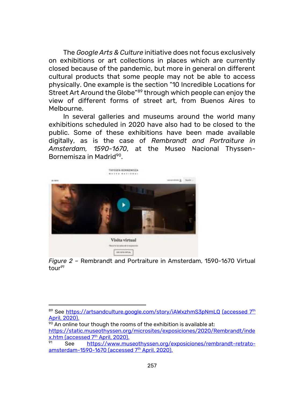The *Google Arts & Culture* initiative does not focus exclusively on exhibitions or art collections in places which are currently closed because of the pandemic, but more in general on different cultural products that some people may not be able to access physically. One example is the section "10 Incredible Locations for Street Art Around the Globe"<sup>89</sup> through which people can enjoy the view of different forms of street art, from Buenos Aires to Melbourne.

In several galleries and museums around the world many exhibitions scheduled in 2020 have also had to be closed to the public. Some of these exhibitions have been made available digitally, as is the case of *Rembrandt and Portraiture in Amsterdam, 1590-1670*, at the Museo Nacional Thyssen-Bornemisza in Madrid<sup>90</sup>.





 $\overline{a}$ 89 See<https://artsandculture.google.com/story/iAWxzhmS3pNmLQ> (accessed 7<sup>th</sup>) April, 2020).

 $90$  An online tour though the rooms of the exhibition is available at: [https://static.museothyssen.org/microsites/exposiciones/2020/Rembrandt/inde](https://static.museothyssen.org/microsites/exposiciones/2020/Rembrandt/index.htm) [x.htm](https://static.museothyssen.org/microsites/exposiciones/2020/Rembrandt/index.htm) (accessed 7<sup>th</sup> April, 2020).

See [https://www.museothyssen.org/exposiciones/rembrandt-retrato](https://www.museothyssen.org/exposiciones/rembrandt-retrato-amsterdam-1590-1670)[amsterdam-1590-1670](https://www.museothyssen.org/exposiciones/rembrandt-retrato-amsterdam-1590-1670) (accessed  $7<sup>th</sup>$  April, 2020).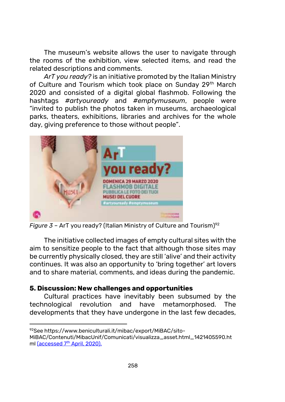The museum's website allows the user to navigate through the rooms of the exhibition, view selected items, and read the related descriptions and comments.

*ArT you ready?* is an initiative promoted by the Italian Ministry of Culture and Tourism which took place on Sunday 29<sup>th</sup> March 2020 and consisted of a digital global flashmob. Following the hashtags *#artyouready* and *#emptymuseum*, people were "invited to publish the photos taken in museums, archaeological parks, theaters, exhibitions, libraries and archives for the whole day, giving preference to those without people".



*Figure 3* – ArT you ready? (Italian Ministry of Culture and Tourism) 92

The initiative collected images of empty cultural sites with the aim to sensitize people to the fact that although those sites may be currently physically closed, they are still 'alive' and their activity continues. It was also an opportunity to 'bring together' art lovers and to share material, comments, and ideas during the pandemic.

### **5. Discussion: New challenges and opportunities**

Cultural practices have inevitably been subsumed by the technological revolution and have metamorphosed. The developments that they have undergone in the last few decades,

<sup>1</sup> 92See https://www.beniculturali.it/mibac/export/MiBAC/sito-

MiBAC/Contenuti/MibacUnif/Comunicati/visualizza\_asset.html\_1421405590.ht ml (accessed 7<sup>th</sup> April, 2020).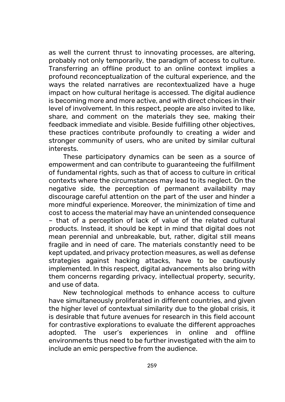as well the current thrust to innovating processes, are altering, probably not only temporarily, the paradigm of access to culture. Transferring an offline product to an online context implies a profound reconceptualization of the cultural experience, and the ways the related narratives are recontextualized have a huge impact on how cultural heritage is accessed. The digital audience is becoming more and more active, and with direct choices in their level of involvement. In this respect, people are also invited to like, share, and comment on the materials they see, making their feedback immediate and visible. Beside fulfilling other objectives, these practices contribute profoundly to creating a wider and stronger community of users, who are united by similar cultural interests.

These participatory dynamics can be seen as a source of empowerment and can contribute to guaranteeing the fulfillment of fundamental rights, such as that of access to culture in critical contexts where the circumstances may lead to its neglect. On the negative side, the perception of permanent availability may discourage careful attention on the part of the user and hinder a more mindful experience. Moreover, the minimization of time and cost to access the material may have an unintended consequence – that of a perception of lack of value of the related cultural products. Instead, it should be kept in mind that digital does not mean perennial and unbreakable, but, rather, digital still means fragile and in need of care. The materials constantly need to be kept updated, and privacy protection measures, as well as defense strategies against hacking attacks, have to be cautiously implemented. In this respect, digital advancements also bring with them concerns regarding privacy, intellectual property, security, and use of data.

New technological methods to enhance access to culture have simultaneously proliferated in different countries, and given the higher level of contextual similarity due to the global crisis, it is desirable that future avenues for research in this field account for contrastive explorations to evaluate the different approaches adopted. The user's experiences in online and offline environments thus need to be further investigated with the aim to include an emic perspective from the audience.